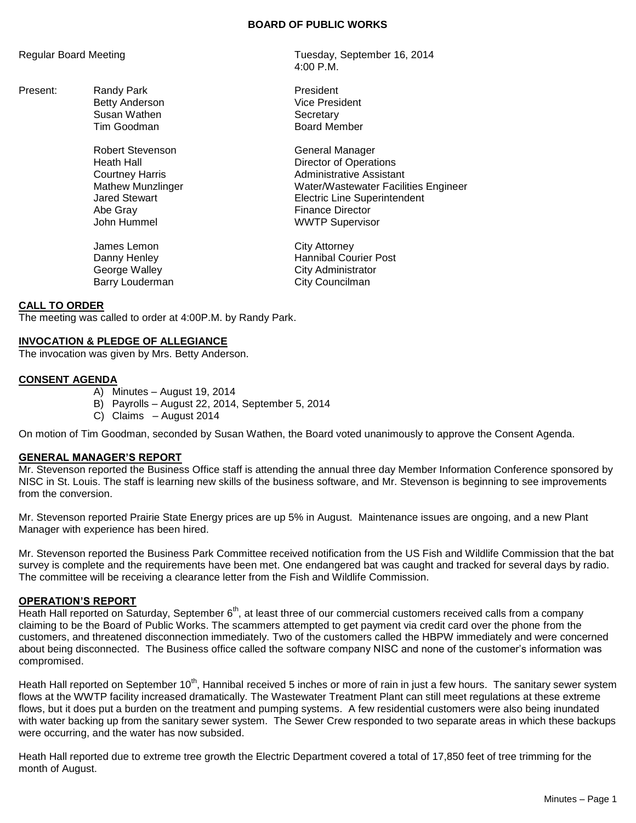### **BOARD OF PUBLIC WORKS**

Present: Randy Park President<br>
Retty Anderson<br>
Vice President Betty Anderson Susan Wathen **Susan Wathen Secretary**<br>Tim Goodman Secretary Secretary

> Robert Stevenson General Manager Abe Gray **Finance Director** John Hummel **WWTP** Supervisor

James Lemon City Attorney Barry Louderman City Councilman

Regular Board Meeting Tuesday, September 16, 2014 4:00 P.M.

Board Member

Heath Hall **Hall Heath Hall Heath Hall Director of Operations** Courtney Harris **Administrative Assistant** Mathew Munzlinger Water/Wastewater Facilities Engineer Jared Stewart Electric Line Superintendent

Danny Henley **Hannibal Courier Post** George Walley **City Administrator** 

# **CALL TO ORDER**

The meeting was called to order at 4:00P.M. by Randy Park.

## **INVOCATION & PLEDGE OF ALLEGIANCE**

The invocation was given by Mrs. Betty Anderson.

# **CONSENT AGENDA**

- A) Minutes August 19, 2014
- B) Payrolls August 22, 2014, September 5, 2014
- C) Claims August 2014

On motion of Tim Goodman, seconded by Susan Wathen, the Board voted unanimously to approve the Consent Agenda.

### **GENERAL MANAGER'S REPORT**

Mr. Stevenson reported the Business Office staff is attending the annual three day Member Information Conference sponsored by NISC in St. Louis. The staff is learning new skills of the business software, and Mr. Stevenson is beginning to see improvements from the conversion.

Mr. Stevenson reported Prairie State Energy prices are up 5% in August. Maintenance issues are ongoing, and a new Plant Manager with experience has been hired.

Mr. Stevenson reported the Business Park Committee received notification from the US Fish and Wildlife Commission that the bat survey is complete and the requirements have been met. One endangered bat was caught and tracked for several days by radio. The committee will be receiving a clearance letter from the Fish and Wildlife Commission.

### **OPERATION'S REPORT**

Heath Hall reported on Saturday, September  $6<sup>th</sup>$ , at least three of our commercial customers received calls from a company claiming to be the Board of Public Works. The scammers attempted to get payment via credit card over the phone from the customers, and threatened disconnection immediately. Two of the customers called the HBPW immediately and were concerned about being disconnected. The Business office called the software company NISC and none of the customer's information was compromised.

Heath Hall reported on September 10<sup>th</sup>, Hannibal received 5 inches or more of rain in just a few hours. The sanitary sewer system flows at the WWTP facility increased dramatically. The Wastewater Treatment Plant can still meet regulations at these extreme flows, but it does put a burden on the treatment and pumping systems. A few residential customers were also being inundated with water backing up from the sanitary sewer system. The Sewer Crew responded to two separate areas in which these backups were occurring, and the water has now subsided.

Heath Hall reported due to extreme tree growth the Electric Department covered a total of 17,850 feet of tree trimming for the month of August.